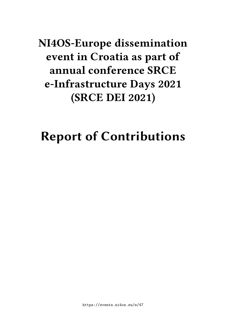## **NI4OS-Europe dissemination event in Croatia as part of annual conference SRCE e-Infrastructure Days 2021 (SRCE DEI 2021)**

# **Report of Contributions**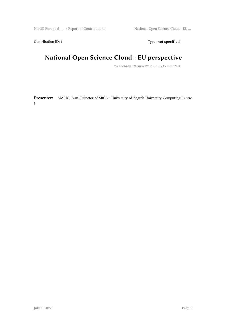Contribution ID: 1 Type: **not specified** 

#### **National Open Science Cloud - EU perspective**

*Wednesday, 28 April 2021 10:15 (15 minutes)*

**Presenter:** MARIĆ, Ivan (Director of SRCE - University of Zagreb University Computing Centre )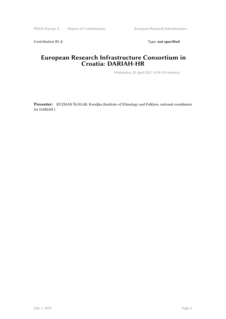Contribution ID: 2 Type: **not specified** 

#### **European Research Infrastructure Consortium in Croatia: DARIAH-HR**

*Wednesday, 28 April 2021 10:30 (10 minutes)*

**Presenter:** KUZMAN ŠLOGAR, Koraljka (Institute of Ethnology and Folklore, national coordinator for DARIAH )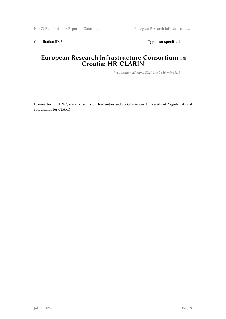Contribution ID: 3 Type: **not specified** 

#### **European Research Infrastructure Consortium in Croatia: HR-CLARIN**

*Wednesday, 28 April 2021 10:40 (10 minutes)*

**Presenter:** TADIĆ, Marko (Faculty of Humanities and Social Sciences, University of Zagreb, national coordinator for CLARIN )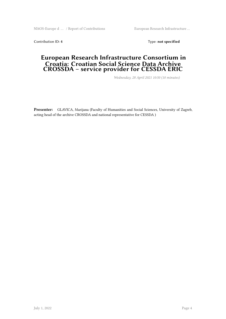NI4OS-Europe d … / Report of Contributions European Research Infrastructure …

Contribution ID: 4 Type: **not specified** 

#### **European Research Infrastructure Consortium in Croatia: Croatian Social Science Data Archive CROSSDA – service provider for CESSDA ERIC**

*Wednesday, 28 April 2021 10:50 (10 minutes)*

**Presenter:** GLAVICA, Marijana (Faculty of Humanities and Social Sciences, University of Zagreb, acting head of the archive CROSSDA and national representative for CESSDA )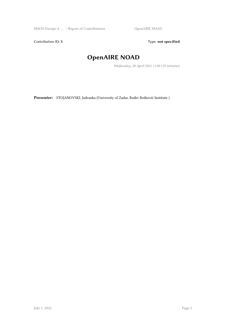NI4OS-Europe d  $\dots\,$  / Report of Contributions  $\hfill\textsf{OpenAIRE NOAD}$ 

Contribution ID: 5 Type: **not specified** 

## **OpenAIRE NOAD**

*Wednesday, 28 April 2021 11:00 (10 minutes)*

**Presenter:** STOJANOVSKI, Jadranka (University of Zadar, Ruđer Bošković Institute )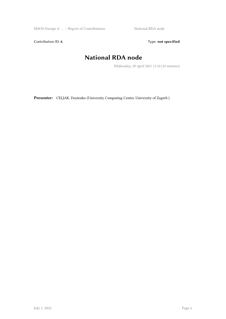NI4OS-Europe d ... / Report of Contributions National RDA node

Contribution ID: 6 Type: not specified

#### **National RDA node**

*Wednesday, 28 April 2021 11:10 (10 minutes)*

**Presenter:** CELJAK, Draženko (University Computing Center, University of Zagreb )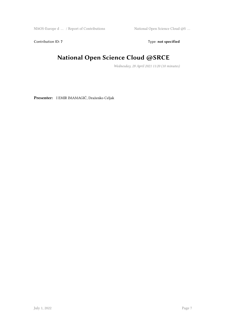Contribution ID: 7 Type: **not specified** 

## **National Open Science Cloud @SRCE**

*Wednesday, 28 April 2021 11:20 (10 minutes)*

**Presenter:** I EMIR IMAMAGIĆ, Draženko Celjak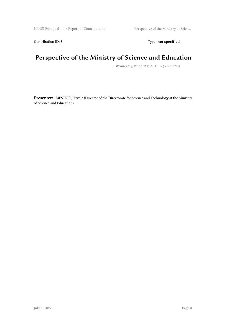Contribution ID: 8 Type: **not specified** 

#### **Perspective of the Ministry of Science and Education**

*Wednesday, 28 April 2021 11:30 (5 minutes)*

**Presenter:** MEŠTRIĆ, Hrvoje (Director of the Directorate for Science and Technology at the Ministry of Science and Education)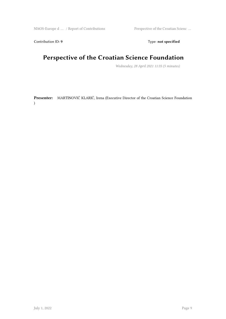Contribution ID: 9 Type: **not specified** 

## **Perspective of the Croatian Science Foundation**

*Wednesday, 28 April 2021 11:35 (5 minutes)*

**Presenter:** MARTINOVIĆ KLARIĆ, Irena (Executive Director of the Croatian Science Foundation )